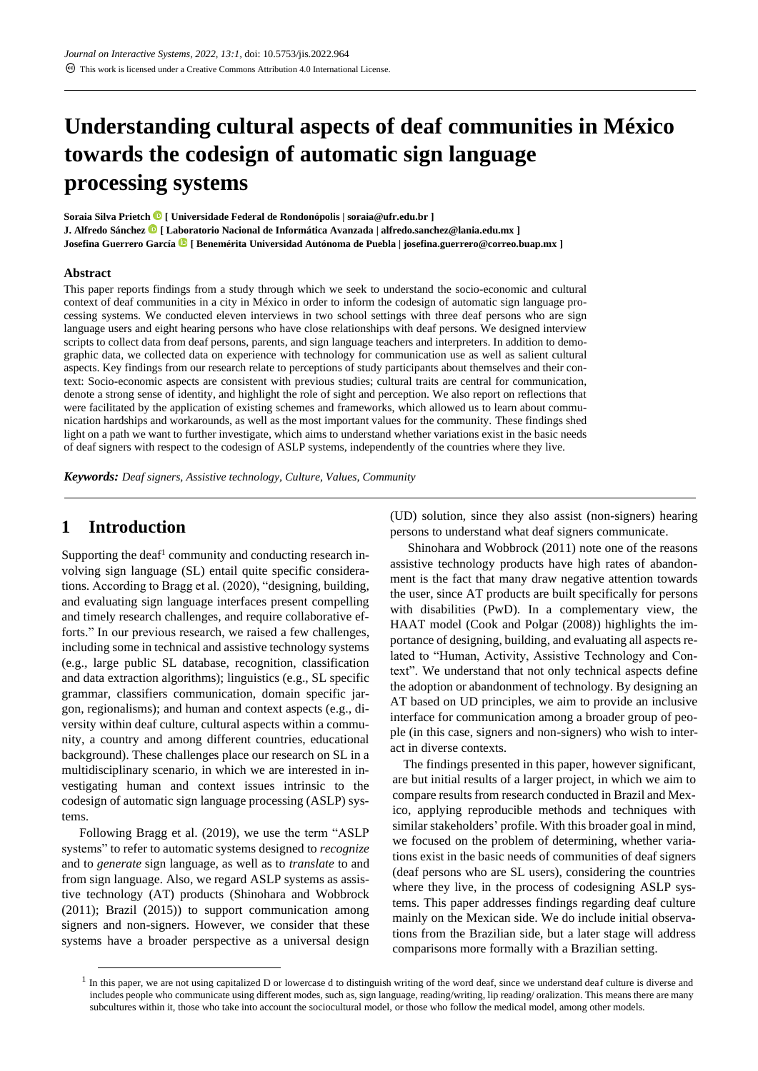# **Understanding cultural aspects of deaf communities in México towards the codesign of automatic sign language processing systems**

**Soraia Silva Prietch [ Universidade Federal de Rondonópolis | soraia@ufr.edu.br ] J. Alfredo Sánchez [ Laboratorio Nacional de Informática Avanzada | alfredo.sanchez@lania.edu.mx ] Josefina Guerrero García [ Benemérita Universidad Autónoma de Puebla | josefina.guerrero@correo.buap.mx ]**

#### **Abstract**

This paper reports findings from a study through which we seek to understand the socio-economic and cultural context of deaf communities in a city in México in order to inform the codesign of automatic sign language processing systems. We conducted eleven interviews in two school settings with three deaf persons who are sign language users and eight hearing persons who have close relationships with deaf persons. We designed interview scripts to collect data from deaf persons, parents, and sign language teachers and interpreters. In addition to demographic data, we collected data on experience with technology for communication use as well as salient cultural aspects. Key findings from our research relate to perceptions of study participants about themselves and their context: Socio-economic aspects are consistent with previous studies; cultural traits are central for communication, denote a strong sense of identity, and highlight the role of sight and perception. We also report on reflections that were facilitated by the application of existing schemes and frameworks, which allowed us to learn about communication hardships and workarounds, as well as the most important values for the community. These findings shed light on a path we want to further investigate, which aims to understand whether variations exist in the basic needs of deaf signers with respect to the codesign of ASLP systems, independently of the countries where they live.

*Keywords: Deaf signers, Assistive technology, Culture, Values, Community*

# **1 Introduction**

Supporting the deaf<sup>1</sup> community and conducting research involving sign language (SL) entail quite specific considerations. According to Bragg et al. (2020), "designing, building, and evaluating sign language interfaces present compelling and timely research challenges, and require collaborative efforts." In our previous research, we raised a few challenges, including some in technical and assistive technology systems (e.g., large public SL database, recognition, classification and data extraction algorithms); linguistics (e.g., SL specific grammar, classifiers communication, domain specific jargon, regionalisms); and human and context aspects (e.g., diversity within deaf culture, cultural aspects within a community, a country and among different countries, educational background). These challenges place our research on SL in a multidisciplinary scenario, in which we are interested in investigating human and context issues intrinsic to the codesign of automatic sign language processing (ASLP) systems.

Following Bragg et al. (2019), we use the term "ASLP systems" to refer to automatic systems designed to *recognize* and to *generate* sign language, as well as to *translate* to and from sign language. Also, we regard ASLP systems as assistive technology (AT) products (Shinohara and Wobbrock (2011); Brazil (2015)) to support communication among signers and non-signers. However, we consider that these systems have a broader perspective as a universal design

(UD) solution, since they also assist (non-signers) hearing persons to understand what deaf signers communicate.

Shinohara and Wobbrock (2011) note one of the reasons assistive technology products have high rates of abandonment is the fact that many draw negative attention towards the user, since AT products are built specifically for persons with disabilities (PwD). In a complementary view, the HAAT model (Cook and Polgar (2008)) highlights the importance of designing, building, and evaluating all aspects related to "Human, Activity, Assistive Technology and Context". We understand that not only technical aspects define the adoption or abandonment of technology. By designing an AT based on UD principles, we aim to provide an inclusive interface for communication among a broader group of people (in this case, signers and non-signers) who wish to interact in diverse contexts.

The findings presented in this paper, however significant, are but initial results of a larger project, in which we aim to compare results from research conducted in Brazil and Mexico, applying reproducible methods and techniques with similar stakeholders' profile. With this broader goal in mind, we focused on the problem of determining, whether variations exist in the basic needs of communities of deaf signers (deaf persons who are SL users), considering the countries where they live, in the process of codesigning ASLP systems. This paper addresses findings regarding deaf culture mainly on the Mexican side. We do include initial observations from the Brazilian side, but a later stage will address comparisons more formally with a Brazilian setting.

 $<sup>1</sup>$  In this paper, we are not using capitalized D or lowercase d to distinguish writing of the word deaf, since we understand deaf culture is diverse and</sup> includes people who communicate using different modes, such as, sign language, reading/writing, lip reading/ oralization. This means there are many subcultures within it, those who take into account the sociocultural model, or those who follow the medical model, among other models.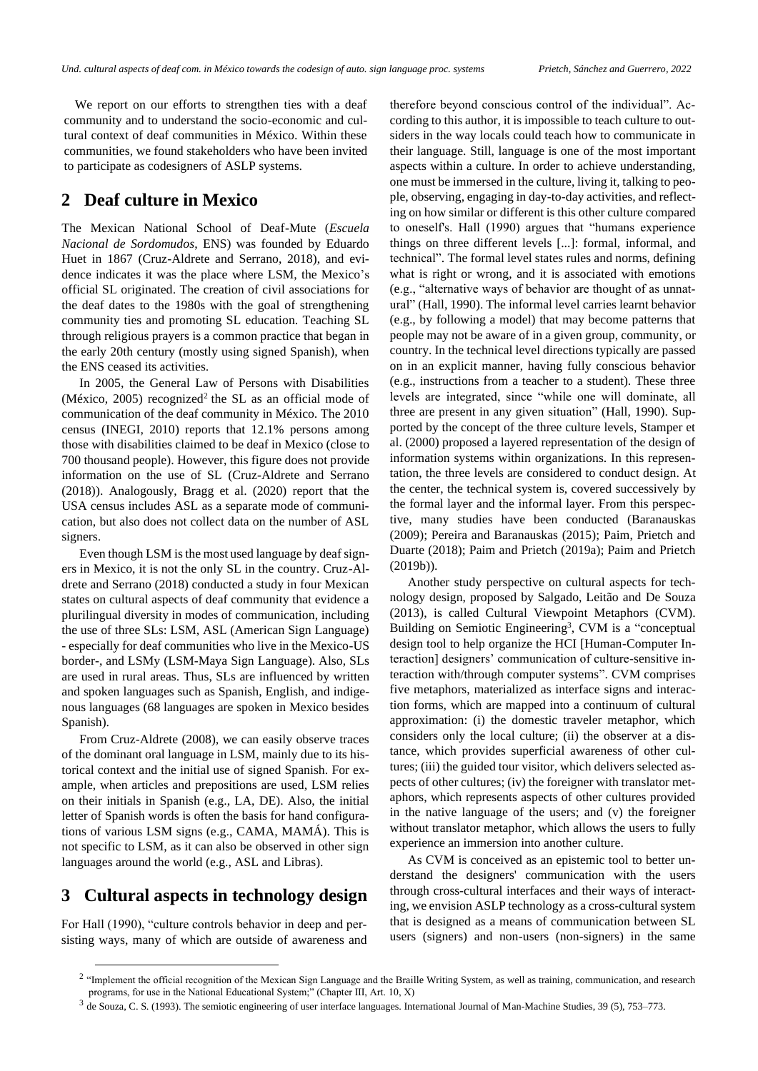We report on our efforts to strengthen ties with a deaf community and to understand the socio-economic and cultural context of deaf communities in México. Within these communities, we found stakeholders who have been invited to participate as codesigners of ASLP systems.

# **2 Deaf culture in Mexico**

The Mexican National School of Deaf-Mute (*Escuela Nacional de Sordomudos*, ENS) was founded by Eduardo Huet in 1867 (Cruz-Aldrete and Serrano, 2018), and evidence indicates it was the place where LSM, the Mexico's official SL originated. The creation of civil associations for the deaf dates to the 1980s with the goal of strengthening community ties and promoting SL education. Teaching SL through religious prayers is a common practice that began in the early 20th century (mostly using signed Spanish), when the ENS ceased its activities.

In 2005, the General Law of Persons with Disabilities (México, 2005) recognized<sup>2</sup> the SL as an official mode of communication of the deaf community in México. The 2010 census (INEGI, 2010) reports that 12.1% persons among those with disabilities claimed to be deaf in Mexico (close to 700 thousand people). However, this figure does not provide information on the use of SL (Cruz-Aldrete and Serrano (2018)). Analogously, Bragg et al. (2020) report that the USA census includes ASL as a separate mode of communication, but also does not collect data on the number of ASL signers.

Even though LSM is the most used language by deaf signers in Mexico, it is not the only SL in the country. Cruz-Aldrete and Serrano (2018) conducted a study in four Mexican states on cultural aspects of deaf community that evidence a plurilingual diversity in modes of communication, including the use of three SLs: LSM, ASL (American Sign Language) - especially for deaf communities who live in the Mexico-US border-, and LSMy (LSM-Maya Sign Language). Also, SLs are used in rural areas. Thus, SLs are influenced by written and spoken languages such as Spanish, English, and indigenous languages (68 languages are spoken in Mexico besides Spanish).

From Cruz-Aldrete (2008), we can easily observe traces of the dominant oral language in LSM, mainly due to its historical context and the initial use of signed Spanish. For example, when articles and prepositions are used, LSM relies on their initials in Spanish (e.g., LA, DE). Also, the initial letter of Spanish words is often the basis for hand configurations of various LSM signs (e.g., CAMA, MAMÁ). This is not specific to LSM, as it can also be observed in other sign languages around the world (e.g., ASL and Libras).

# **3 Cultural aspects in technology design**

For Hall (1990), "culture controls behavior in deep and persisting ways, many of which are outside of awareness and therefore beyond conscious control of the individual". According to this author, it is impossible to teach culture to outsiders in the way locals could teach how to communicate in their language. Still, language is one of the most important aspects within a culture. In order to achieve understanding, one must be immersed in the culture, living it, talking to people, observing, engaging in day-to-day activities, and reflecting on how similar or different is this other culture compared to oneself's. Hall (1990) argues that "humans experience things on three different levels [...]: formal, informal, and technical". The formal level states rules and norms, defining what is right or wrong, and it is associated with emotions (e.g., "alternative ways of behavior are thought of as unnatural" (Hall, 1990). The informal level carries learnt behavior (e.g., by following a model) that may become patterns that people may not be aware of in a given group, community, or country. In the technical level directions typically are passed on in an explicit manner, having fully conscious behavior (e.g., instructions from a teacher to a student). These three levels are integrated, since "while one will dominate, all three are present in any given situation" (Hall, 1990). Supported by the concept of the three culture levels, Stamper et al. (2000) proposed a layered representation of the design of information systems within organizations. In this representation, the three levels are considered to conduct design. At the center, the technical system is, covered successively by the formal layer and the informal layer. From this perspective, many studies have been conducted (Baranauskas (2009); Pereira and Baranauskas (2015); Paim, Prietch and Duarte (2018); Paim and Prietch (2019a); Paim and Prietch (2019b)).

Another study perspective on cultural aspects for technology design, proposed by Salgado, Leitão and De Souza (2013), is called Cultural Viewpoint Metaphors (CVM). Building on Semiotic Engineering<sup>3</sup>, CVM is a "conceptual design tool to help organize the HCI [Human-Computer Interaction] designers' communication of culture-sensitive interaction with/through computer systems". CVM comprises five metaphors, materialized as interface signs and interaction forms, which are mapped into a continuum of cultural approximation: (i) the domestic traveler metaphor, which considers only the local culture; (ii) the observer at a distance, which provides superficial awareness of other cultures; (iii) the guided tour visitor, which delivers selected aspects of other cultures; (iv) the foreigner with translator metaphors, which represents aspects of other cultures provided in the native language of the users; and (v) the foreigner without translator metaphor, which allows the users to fully experience an immersion into another culture.

As CVM is conceived as an epistemic tool to better understand the designers' communication with the users through cross-cultural interfaces and their ways of interacting, we envision ASLP technology as a cross-cultural system that is designed as a means of communication between SL users (signers) and non-users (non-signers) in the same

<sup>&</sup>lt;sup>2</sup> "Implement the official recognition of the Mexican Sign Language and the Braille Writing System, as well as training, communication, and research programs, for use in the National Educational System;" (Chapter III, Art. 10, X)

 $3$  de Souza, C. S. (1993). The semiotic engineering of user interface languages. International Journal of Man-Machine Studies, 39 (5), 753–773.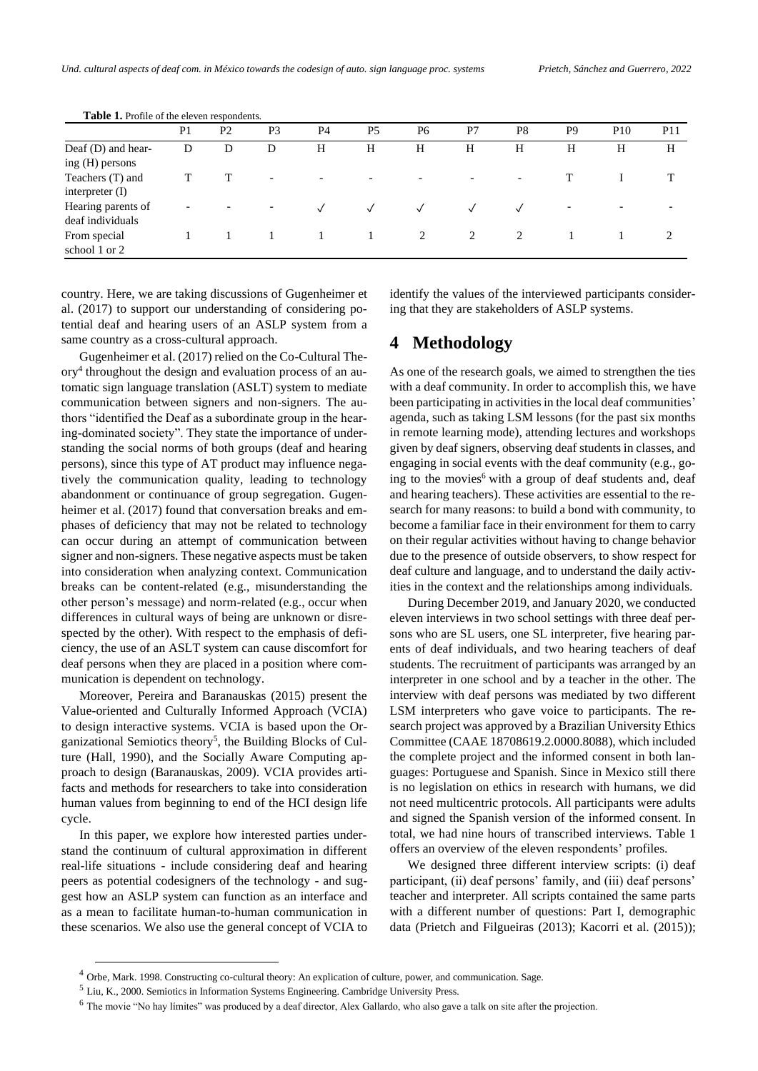|                                        | P <sub>1</sub>           | P <sub>2</sub> | P <sub>3</sub>           | P <sub>4</sub> | P <sub>5</sub> | P <sub>6</sub> | P7        | P8                       | P <sub>9</sub> | P <sub>10</sub>          | <b>P11</b> |
|----------------------------------------|--------------------------|----------------|--------------------------|----------------|----------------|----------------|-----------|--------------------------|----------------|--------------------------|------------|
| Deaf (D) and hear-<br>ing (H) persons  | D                        | D              | D                        | H              | H              | H              | Н         | Н                        | H              | Н                        | H          |
| Teachers (T) and<br>interpreter (I)    |                          |                | $\overline{\phantom{0}}$ |                |                |                |           | $\overline{\phantom{0}}$ |                |                          |            |
| Hearing parents of<br>deaf individuals | $\overline{\phantom{0}}$ |                | $\overline{\phantom{a}}$ |                |                | $\checkmark$   | $\sqrt{}$ |                          | -              | $\overline{\phantom{0}}$ |            |
| From special<br>school 1 or 2          |                          |                |                          |                |                | 2              | 2         | 2                        |                |                          | 2          |

**Table 1.** Profile of the eleven respondents.

country. Here, we are taking discussions of Gugenheimer et al. (2017) to support our understanding of considering potential deaf and hearing users of an ASLP system from a same country as a cross-cultural approach.

Gugenheimer et al. (2017) relied on the Co-Cultural Theory<sup>4</sup> throughout the design and evaluation process of an automatic sign language translation (ASLT) system to mediate communication between signers and non-signers. The authors "identified the Deaf as a subordinate group in the hearing-dominated society". They state the importance of understanding the social norms of both groups (deaf and hearing persons), since this type of AT product may influence negatively the communication quality, leading to technology abandonment or continuance of group segregation. Gugenheimer et al. (2017) found that conversation breaks and emphases of deficiency that may not be related to technology can occur during an attempt of communication between signer and non-signers. These negative aspects must be taken into consideration when analyzing context. Communication breaks can be content-related (e.g., misunderstanding the other person's message) and norm-related (e.g., occur when differences in cultural ways of being are unknown or disrespected by the other). With respect to the emphasis of deficiency, the use of an ASLT system can cause discomfort for deaf persons when they are placed in a position where communication is dependent on technology.

Moreover, Pereira and Baranauskas (2015) present the Value-oriented and Culturally Informed Approach (VCIA) to design interactive systems. VCIA is based upon the Organizational Semiotics theory<sup>5</sup>, the Building Blocks of Culture (Hall, 1990), and the Socially Aware Computing approach to design (Baranauskas, 2009). VCIA provides artifacts and methods for researchers to take into consideration human values from beginning to end of the HCI design life cycle.

In this paper, we explore how interested parties understand the continuum of cultural approximation in different real-life situations - include considering deaf and hearing peers as potential codesigners of the technology - and suggest how an ASLP system can function as an interface and as a mean to facilitate human-to-human communication in these scenarios. We also use the general concept of VCIA to identify the values of the interviewed participants considering that they are stakeholders of ASLP systems.

# **4 Methodology**

As one of the research goals, we aimed to strengthen the ties with a deaf community. In order to accomplish this, we have been participating in activities in the local deaf communities' agenda, such as taking LSM lessons (for the past six months in remote learning mode), attending lectures and workshops given by deaf signers, observing deaf students in classes, and engaging in social events with the deaf community (e.g., going to the movies<sup>6</sup> with a group of deaf students and, deaf and hearing teachers). These activities are essential to the research for many reasons: to build a bond with community, to become a familiar face in their environment for them to carry on their regular activities without having to change behavior due to the presence of outside observers, to show respect for deaf culture and language, and to understand the daily activities in the context and the relationships among individuals.

During December 2019, and January 2020, we conducted eleven interviews in two school settings with three deaf persons who are SL users, one SL interpreter, five hearing parents of deaf individuals, and two hearing teachers of deaf students. The recruitment of participants was arranged by an interpreter in one school and by a teacher in the other. The interview with deaf persons was mediated by two different LSM interpreters who gave voice to participants. The research project was approved by a Brazilian University Ethics Committee (CAAE 18708619.2.0000.8088), which included the complete project and the informed consent in both languages: Portuguese and Spanish. Since in Mexico still there is no legislation on ethics in research with humans, we did not need multicentric protocols. All participants were adults and signed the Spanish version of the informed consent. In total, we had nine hours of transcribed interviews. Table 1 offers an overview of the eleven respondents' profiles.

We designed three different interview scripts: (i) deaf participant, (ii) deaf persons' family, and (iii) deaf persons' teacher and interpreter. All scripts contained the same parts with a different number of questions: Part I, demographic data (Prietch and Filgueiras (2013); Kacorri et al. (2015));

<sup>4</sup> Orbe, Mark. 1998. Constructing co-cultural theory: An explication of culture, power, and communication. Sage.

<sup>5</sup> Liu, K., 2000. Semiotics in Information Systems Engineering. Cambridge University Press.

<sup>6</sup> The movie "No hay límites" was produced by a deaf director, Alex Gallardo, who also gave a talk on site after the projection.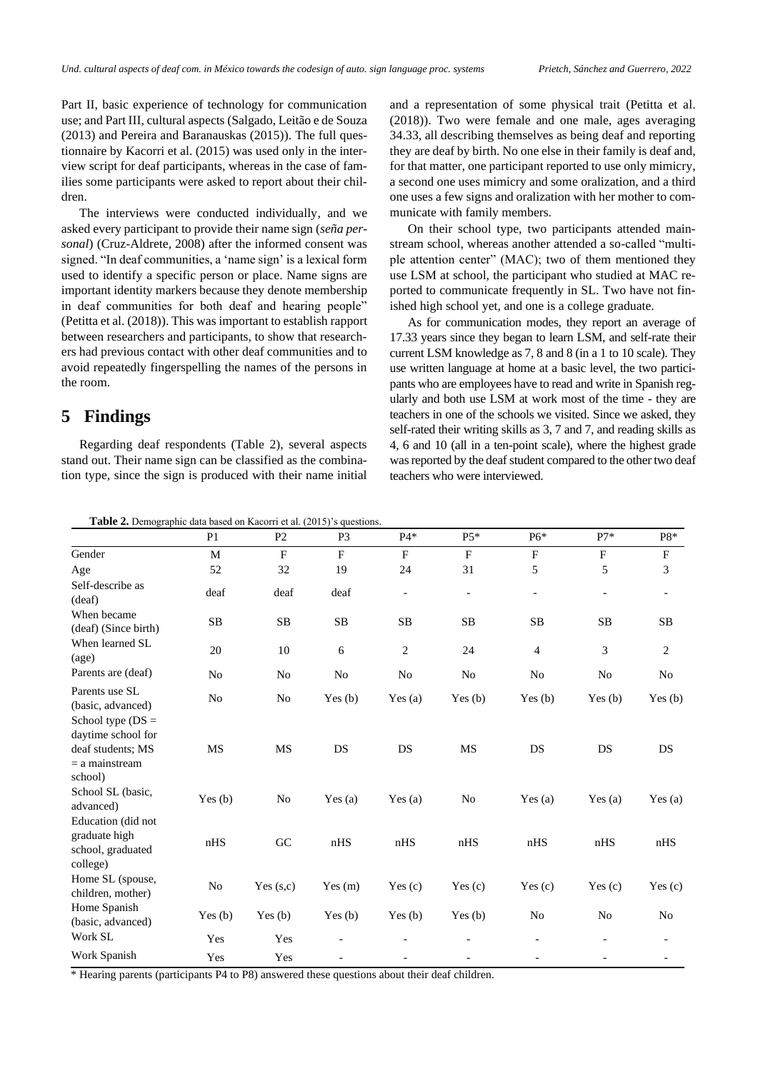Part II, basic experience of technology for communication use; and Part III, cultural aspects (Salgado, Leitão e de Souza (2013) and Pereira and Baranauskas (2015)). The full questionnaire by Kacorri et al. (2015) was used only in the interview script for deaf participants, whereas in the case of families some participants were asked to report about their children.

The interviews were conducted individually, and we asked every participant to provide their name sign (*seña personal*) (Cruz-Aldrete, 2008) after the informed consent was signed. "In deaf communities, a 'name sign' is a lexical form used to identify a specific person or place. Name signs are important identity markers because they denote membership in deaf communities for both deaf and hearing people" (Petitta et al. (2018)). This was important to establish rapport between researchers and participants, to show that researchers had previous contact with other deaf communities and to avoid repeatedly fingerspelling the names of the persons in the room.

# **5 Findings**

Regarding deaf respondents (Table 2), several aspects stand out. Their name sign can be classified as the combination type, since the sign is produced with their name initial and a representation of some physical trait (Petitta et al. (2018)). Two were female and one male, ages averaging 34.33, all describing themselves as being deaf and reporting they are deaf by birth. No one else in their family is deaf and, for that matter, one participant reported to use only mimicry, a second one uses mimicry and some oralization, and a third one uses a few signs and oralization with her mother to communicate with family members.

On their school type, two participants attended mainstream school, whereas another attended a so-called "multiple attention center" (MAC); two of them mentioned they use LSM at school, the participant who studied at MAC reported to communicate frequently in SL. Two have not finished high school yet, and one is a college graduate.

As for communication modes, they report an average of 17.33 years since they began to learn LSM, and self-rate their current LSM knowledge as 7, 8 and 8 (in a 1 to 10 scale). They use written language at home at a basic level, the two participants who are employees have to read and write in Spanish regularly and both use LSM at work most of the time - they are teachers in one of the schools we visited. Since we asked, they self-rated their writing skills as 3, 7 and 7, and reading skills as 4, 6 and 10 (all in a ten-point scale), where the highest grade was reported by the deaf student compared to the other two deaf teachers who were interviewed.

| Table 2. Demographic data based on Kacorri et al. (2015)'s questions. |  |  |  |
|-----------------------------------------------------------------------|--|--|--|
|-----------------------------------------------------------------------|--|--|--|

|                                                                                               | P <sub>1</sub> | P <sub>2</sub> | P <sub>3</sub> | $P4*$                    | $P5*$                    | P6*                      | $P7*$                    | P8*                       |
|-----------------------------------------------------------------------------------------------|----------------|----------------|----------------|--------------------------|--------------------------|--------------------------|--------------------------|---------------------------|
| Gender                                                                                        | M              | F              | $\mathbf{F}$   | F                        | F                        | F                        | F                        | $\boldsymbol{\mathrm{F}}$ |
| Age                                                                                           | 52             | 32             | 19             | 24                       | 31                       | 5                        | 5                        | 3                         |
| Self-describe as<br>(deaf)                                                                    | deaf           | deaf           | deaf           | $\overline{\phantom{a}}$ | $\overline{\phantom{a}}$ | $\overline{\phantom{a}}$ | $\overline{\phantom{0}}$ | $\overline{\phantom{a}}$  |
| When became<br>(deaf) (Since birth)                                                           | <b>SB</b>      | SB             | SB             | <b>SB</b>                | <b>SB</b>                | <b>SB</b>                | <b>SB</b>                | <b>SB</b>                 |
| When learned SL<br>$\left( \text{age} \right)$                                                | 20             | 10             | 6              | $\overline{c}$           | 24                       | $\overline{4}$           | $\overline{3}$           | $\overline{c}$            |
| Parents are (deaf)                                                                            | No             | No             | No             | No                       | No                       | N <sub>o</sub>           | No                       | No                        |
| Parents use SL<br>(basic, advanced)                                                           | No             | No             | Yes(b)         | Yes $(a)$                | Yes $(b)$                | Yes(b)                   | Yes $(b)$                | Yes (b)                   |
| School type $(DS =$<br>daytime school for<br>deaf students; MS<br>$=$ a mainstream<br>school) | MS             | MS             | DS             | DS                       | $\rm MS$                 | DS                       | DS                       | DS                        |
| School SL (basic,<br>advanced)                                                                | Yes $(b)$      | No             | Yes $(a)$      | Yes $(a)$                | N <sub>o</sub>           | Yes $(a)$                | Yes $(a)$                | Yes $(a)$                 |
| Education (did not<br>graduate high<br>school, graduated<br>college)                          | nHS            | GC             | nHS            | nHS                      | nHS                      | nHS                      | nHS                      | nHS                       |
| Home SL (spouse,<br>children, mother)                                                         | No             | Yes $(s,c)$    | Yes(m)         | Yes $(c)$                | Yes $(c)$                | Yes $(c)$                | Yes $(c)$                | Yes $(c)$                 |
| Home Spanish<br>(basic, advanced)                                                             | Yes $(b)$      | Yes(b)         | Yes(b)         | Yes $(b)$                | Yes $(b)$                | N <sub>o</sub>           | No                       | No                        |
| Work SL                                                                                       | Yes            | Yes            | $\overline{a}$ |                          | $\overline{\phantom{a}}$ | $\overline{\phantom{a}}$ | $\overline{\phantom{0}}$ |                           |
| Work Spanish                                                                                  | Yes            | Yes            |                |                          |                          |                          |                          |                           |

\* Hearing parents (participants P4 to P8) answered these questions about their deaf children.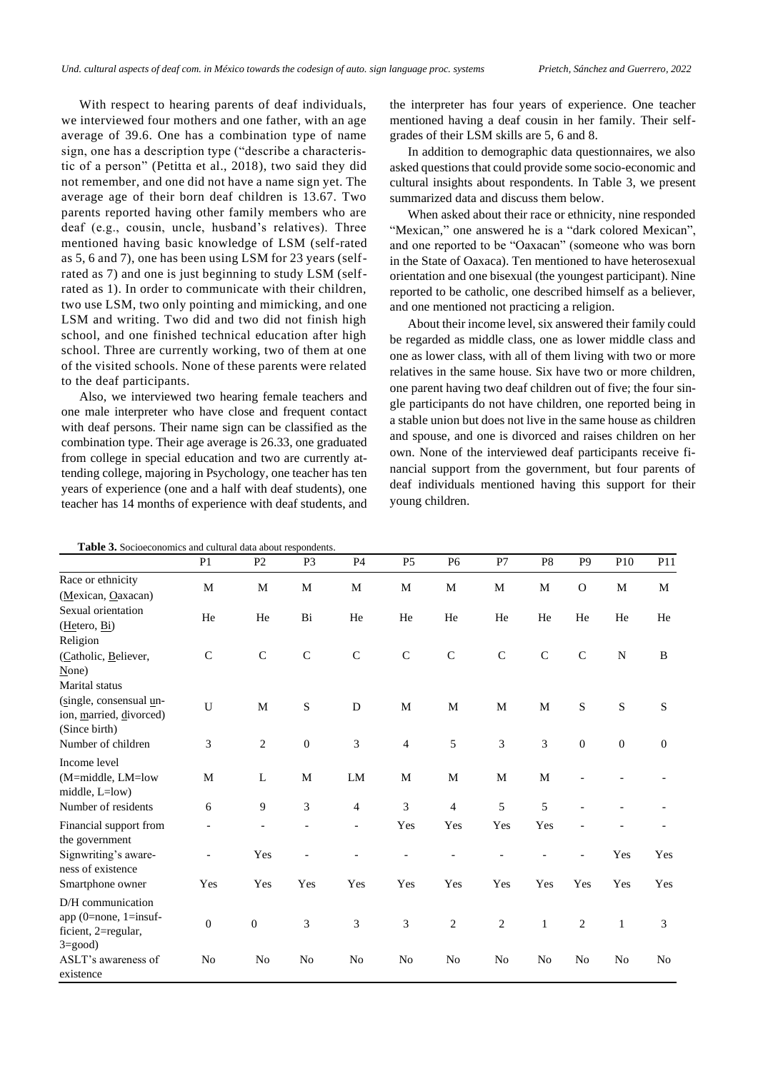With respect to hearing parents of deaf individuals, we interviewed four mothers and one father, with an age average of 39.6. One has a combination type of name sign, one has a description type ("describe a characteristic of a person" (Petitta et al., 2018), two said they did not remember, and one did not have a name sign yet. The average age of their born deaf children is 13.67. Two parents reported having other family members who are deaf (e.g., cousin, uncle, husband's relatives). Three mentioned having basic knowledge of LSM (self-rated as 5, 6 and 7), one has been using LSM for 23 years (selfrated as 7) and one is just beginning to study LSM (selfrated as 1). In order to communicate with their children, two use LSM, two only pointing and mimicking, and one LSM and writing. Two did and two did not finish high school, and one finished technical education after high school. Three are currently working, two of them at one of the visited schools. None of these parents were related to the deaf participants.

Also, we interviewed two hearing female teachers and one male interpreter who have close and frequent contact with deaf persons. Their name sign can be classified as the combination type. Their age average is 26.33, one graduated from college in special education and two are currently attending college, majoring in Psychology, one teacher has ten years of experience (one and a half with deaf students), one teacher has 14 months of experience with deaf students, and

the interpreter has four years of experience. One teacher mentioned having a deaf cousin in her family. Their selfgrades of their LSM skills are 5, 6 and 8.

In addition to demographic data questionnaires, we also asked questions that could provide some socio-economic and cultural insights about respondents. In Table 3, we present summarized data and discuss them below.

When asked about their race or ethnicity, nine responded "Mexican," one answered he is a "dark colored Mexican", and one reported to be "Oaxacan" (someone who was born in the State of Oaxaca). Ten mentioned to have heterosexual orientation and one bisexual (the youngest participant). Nine reported to be catholic, one described himself as a believer, and one mentioned not practicing a religion.

About their income level, six answered their family could be regarded as middle class, one as lower middle class and one as lower class, with all of them living with two or more relatives in the same house. Six have two or more children, one parent having two deaf children out of five; the four single participants do not have children, one reported being in a stable union but does not live in the same house as children and spouse, and one is divorced and raises children on her own. None of the interviewed deaf participants receive financial support from the government, but four parents of deaf individuals mentioned having this support for their young children.

|                                                                                        | P <sub>1</sub>   | P <sub>2</sub>   | P <sub>3</sub> | P4             | P <sub>5</sub> | P <sub>6</sub> | P7             | P <sub>8</sub> | P <sub>9</sub> | P <sub>10</sub>  | P11            |
|----------------------------------------------------------------------------------------|------------------|------------------|----------------|----------------|----------------|----------------|----------------|----------------|----------------|------------------|----------------|
| Race or ethnicity<br>(Mexican, Oaxacan)                                                | $\mathbf M$      | $\mathbf M$      | $\mathbf M$    | M              | M              | $\mathbf M$    | $\mathbf M$    | M              | $\mathcal{O}$  | $\mathbf M$      | M              |
| Sexual orientation<br>(Hetero, Bi)<br>Religion                                         | He               | He               | Bi             | He             | He             | He             | He             | He             | He             | He               | He             |
| (Catholic, Believer,<br>None)<br>Marital status                                        | $\mathsf{C}$     | $\mathsf{C}$     | $\mathbf C$    | $\mathbf C$    | $\mathbf C$    | $\mathsf{C}$   | $\mathsf{C}$   | $\mathbf C$    | $\mathsf{C}$   | ${\bf N}$        | B              |
| (single, consensual un-<br>ion, married, divorced)<br>(Since birth)                    | $\mathbf U$      | M                | ${\bf S}$      | $\mathbf D$    | M              | M              | M              | M              | S              | ${\bf S}$        | ${\bf S}$      |
| Number of children                                                                     | 3                | $\overline{2}$   | $\mathbf{0}$   | 3              | $\overline{4}$ | 5              | 3              | 3              | $\theta$       | $\boldsymbol{0}$ | $\theta$       |
| Income level                                                                           |                  |                  |                |                |                |                |                |                |                |                  |                |
| (M=middle, LM=low<br>middle, L=low)                                                    | M                | L                | M              | LM             | M              | M              | M              | M              |                |                  |                |
| Number of residents                                                                    | 6                | 9                | 3              | $\overline{4}$ | 3              | $\overline{4}$ | 5              | 5              |                |                  |                |
| Financial support from<br>the government                                               |                  |                  |                | $\overline{a}$ | Yes            | Yes            | Yes            | Yes            |                |                  |                |
| Signwriting's aware-<br>ness of existence                                              | $\overline{a}$   | Yes              |                |                |                |                |                |                |                | Yes              | Yes            |
| Smartphone owner                                                                       | Yes              | Yes              | Yes            | Yes            | Yes            | Yes            | Yes            | Yes            | Yes            | Yes              | Yes            |
| D/H communication<br>app (0=none, 1=insuf-<br>ficient, 2=regular,<br>$3 = \text{good}$ | $\boldsymbol{0}$ | $\boldsymbol{0}$ | 3              | 3              | 3              | $\mathbf{2}$   | $\overline{2}$ | $\mathbf{1}$   | $\overline{2}$ | $\mathbf{1}$     | 3              |
| ASLT's awareness of<br>existence                                                       | No               | No               | No             | No             | No             | No             | No             | No             | N <sub>0</sub> | No               | N <sub>0</sub> |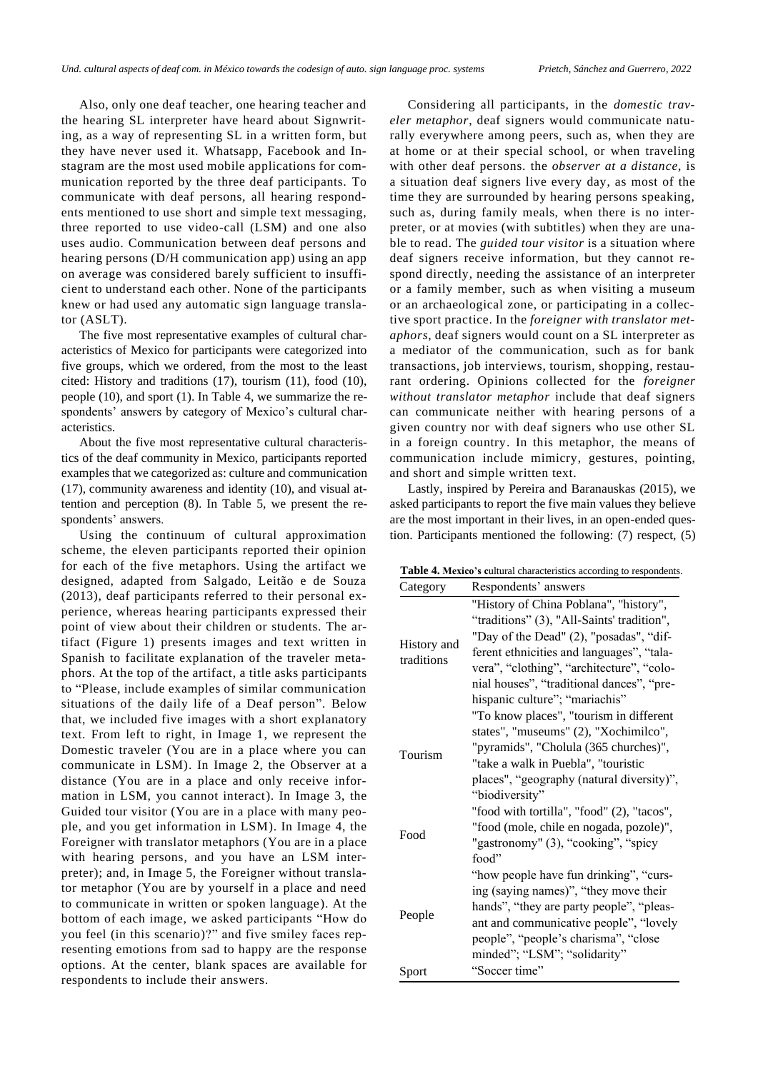Also, only one deaf teacher, one hearing teacher and the hearing SL interpreter have heard about Signwriting, as a way of representing SL in a written form, but they have never used it. Whatsapp, Facebook and Instagram are the most used mobile applications for communication reported by the three deaf participants. To communicate with deaf persons, all hearing respondents mentioned to use short and simple text messaging, three reported to use video-call (LSM) and one also uses audio. Communication between deaf persons and hearing persons (D/H communication app) using an app on average was considered barely sufficient to insufficient to understand each other. None of the participants knew or had used any automatic sign language translator (ASLT).

The five most representative examples of cultural characteristics of Mexico for participants were categorized into five groups, which we ordered, from the most to the least cited: History and traditions (17), tourism (11), food (10), people (10), and sport (1). In Table 4, we summarize the respondents' answers by category of Mexico's cultural characteristics.

About the five most representative cultural characteristics of the deaf community in Mexico, participants reported examples that we categorized as: culture and communication (17), community awareness and identity (10), and visual attention and perception (8). In Table 5, we present the respondents' answers.

Using the continuum of cultural approximation scheme, the eleven participants reported their opinion for each of the five metaphors. Using the artifact we designed, adapted from Salgado, Leitão e de Souza (2013), deaf participants referred to their personal experience, whereas hearing participants expressed their point of view about their children or students. The artifact (Figure 1) presents images and text written in Spanish to facilitate explanation of the traveler metaphors. At the top of the artifact, a title asks participants to "Please, include examples of similar communication situations of the daily life of a Deaf person". Below that, we included five images with a short explanatory text. From left to right, in Image 1, we represent the Domestic traveler (You are in a place where you can communicate in LSM). In Image 2, the Observer at a distance (You are in a place and only receive information in LSM, you cannot interact). In Image 3, the Guided tour visitor (You are in a place with many people, and you get information in LSM). In Image 4, the Foreigner with translator metaphors (You are in a place with hearing persons, and you have an LSM interpreter); and, in Image 5, the Foreigner without translator metaphor (You are by yourself in a place and need to communicate in written or spoken language). At the bottom of each image, we asked participants "How do you feel (in this scenario)?" and five smiley faces representing emotions from sad to happy are the response options. At the center, blank spaces are available for respondents to include their answers.

Considering all participants, in the *domestic traveler metaphor*, deaf signers would communicate naturally everywhere among peers, such as, when they are at home or at their special school, or when traveling with other deaf persons. the *observer at a distance*, is a situation deaf signers live every day, as most of the time they are surrounded by hearing persons speaking, such as, during family meals, when there is no interpreter, or at movies (with subtitles) when they are unable to read. The *guided tour visitor* is a situation where deaf signers receive information, but they cannot respond directly, needing the assistance of an interpreter or a family member, such as when visiting a museum or an archaeological zone, or participating in a collective sport practice. In the *foreigner with translator metaphors*, deaf signers would count on a SL interpreter as a mediator of the communication, such as for bank transactions, job interviews, tourism, shopping, restaurant ordering. Opinions collected for the *foreigner without translator metaphor* include that deaf signers can communicate neither with hearing persons of a given country nor with deaf signers who use other SL in a foreign country. In this metaphor, the means of communication include mimicry, gestures, pointing, and short and simple written text.

Lastly, inspired by Pereira and Baranauskas (2015), we asked participants to report the five main values they believe are the most important in their lives, in an open-ended question. Participants mentioned the following: (7) respect, (5)

| Table 4. Mexico's cultural characteristics according to respondents |  |
|---------------------------------------------------------------------|--|
|---------------------------------------------------------------------|--|

| Category                  | Respondents' answers                                                                                                                                                                                                                                                                                     |
|---------------------------|----------------------------------------------------------------------------------------------------------------------------------------------------------------------------------------------------------------------------------------------------------------------------------------------------------|
| History and<br>traditions | "History of China Poblana", "history",<br>"traditions" (3), "All-Saints' tradition",<br>"Day of the Dead" (2), "posadas", "dif-<br>ferent ethnicities and languages", "tala-<br>vera", "clothing", "architecture", "colo-<br>nial houses", "traditional dances", "pre-<br>hispanic culture"; "mariachis" |
| Tourism                   | "To know places", "tourism in different<br>states", "museums" (2), "Xochimilco",<br>"pyramids", "Cholula (365 churches)",<br>"take a walk in Puebla", "touristic<br>places", "geography (natural diversity)",<br>"biodiversity"                                                                          |
| Food                      | "food with tortilla", "food" (2), "tacos",<br>"food (mole, chile en nogada, pozole)",<br>"gastronomy" (3), "cooking", "spicy<br>food"                                                                                                                                                                    |
| People                    | "how people have fun drinking", "curs-<br>ing (saying names)", "they move their<br>hands", "they are party people", "pleas-<br>ant and communicative people", "lovely<br>people", "people's charisma", "close<br>minded"; "LSM"; "solidarity"                                                            |
| Sport                     | "Soccer time"                                                                                                                                                                                                                                                                                            |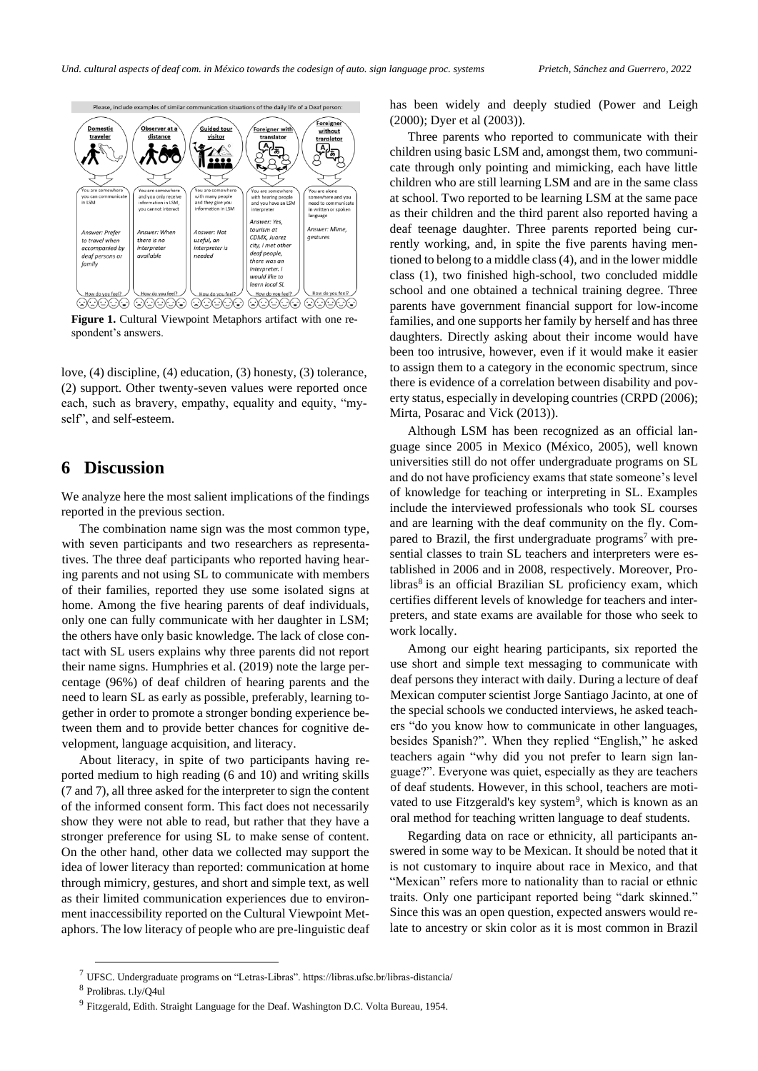

Figure 1. Cultural Viewpoint Metaphors artifact with one respondent's answers.

love, (4) discipline, (4) education, (3) honesty, (3) tolerance, (2) support. Other twenty-seven values were reported once each, such as bravery, empathy, equality and equity, "myself<sup>"</sup>, and self-esteem.

#### **6 Discussion**

We analyze here the most salient implications of the findings reported in the previous section.

The combination name sign was the most common type, with seven participants and two researchers as representatives. The three deaf participants who reported having hearing parents and not using SL to communicate with members of their families, reported they use some isolated signs at home. Among the five hearing parents of deaf individuals, only one can fully communicate with her daughter in LSM; the others have only basic knowledge. The lack of close contact with SL users explains why three parents did not report their name signs. Humphries et al. (2019) note the large percentage (96%) of deaf children of hearing parents and the need to learn SL as early as possible, preferably, learning together in order to promote a stronger bonding experience between them and to provide better chances for cognitive development, language acquisition, and literacy.

About literacy, in spite of two participants having reported medium to high reading (6 and 10) and writing skills (7 and 7), all three asked for the interpreter to sign the content of the informed consent form. This fact does not necessarily show they were not able to read, but rather that they have a stronger preference for using SL to make sense of content. On the other hand, other data we collected may support the idea of lower literacy than reported: communication at home through mimicry, gestures, and short and simple text, as well as their limited communication experiences due to environment inaccessibility reported on the Cultural Viewpoint Metaphors. The low literacy of people who are pre-linguistic deaf has been widely and deeply studied (Power and Leigh (2000); Dyer et al (2003)).

Three parents who reported to communicate with their children using basic LSM and, amongst them, two communicate through only pointing and mimicking, each have little children who are still learning LSM and are in the same class at school. Two reported to be learning LSM at the same pace as their children and the third parent also reported having a deaf teenage daughter. Three parents reported being currently working, and, in spite the five parents having mentioned to belong to a middle class (4), and in the lower middle class (1), two finished high-school, two concluded middle school and one obtained a technical training degree. Three parents have government financial support for low-income families, and one supports her family by herself and has three daughters. Directly asking about their income would have been too intrusive, however, even if it would make it easier to assign them to a category in the economic spectrum, since there is evidence of a correlation between disability and poverty status, especially in developing countries (CRPD (2006); Mirta, Posarac and Vick (2013)).

Although LSM has been recognized as an official language since 2005 in Mexico (México, 2005), well known universities still do not offer undergraduate programs on SL and do not have proficiency exams that state someone's level of knowledge for teaching or interpreting in SL. Examples include the interviewed professionals who took SL courses and are learning with the deaf community on the fly. Compared to Brazil, the first undergraduate programs<sup>7</sup> with presential classes to train SL teachers and interpreters were established in 2006 and in 2008, respectively. Moreover, Prolibras<sup>8</sup> is an official Brazilian SL proficiency exam, which certifies different levels of knowledge for teachers and interpreters, and state exams are available for those who seek to work locally.

Among our eight hearing participants, six reported the use short and simple text messaging to communicate with deaf persons they interact with daily. During a lecture of deaf Mexican computer scientist Jorge Santiago Jacinto, at one of the special schools we conducted interviews, he asked teachers "do you know how to communicate in other languages, besides Spanish?". When they replied "English," he asked teachers again "why did you not prefer to learn sign language?". Everyone was quiet, especially as they are teachers of deaf students. However, in this school, teachers are motivated to use Fitzgerald's key system<sup>9</sup>, which is known as an oral method for teaching written language to deaf students.

Regarding data on race or ethnicity, all participants answered in some way to be Mexican. It should be noted that it is not customary to inquire about race in Mexico, and that "Mexican" refers more to nationality than to racial or ethnic traits. Only one participant reported being "dark skinned." Since this was an open question, expected answers would relate to ancestry or skin color as it is most common in Brazil

 $7$  UFSC. Undergraduate programs on "Letras-Libras". https://libras.ufsc.br/libras-distancia/

<sup>8</sup> Prolibras. t.ly/Q4ul

<sup>&</sup>lt;sup>9</sup> Fitzgerald, Edith. Straight Language for the Deaf. Washington D.C. Volta Bureau, 1954.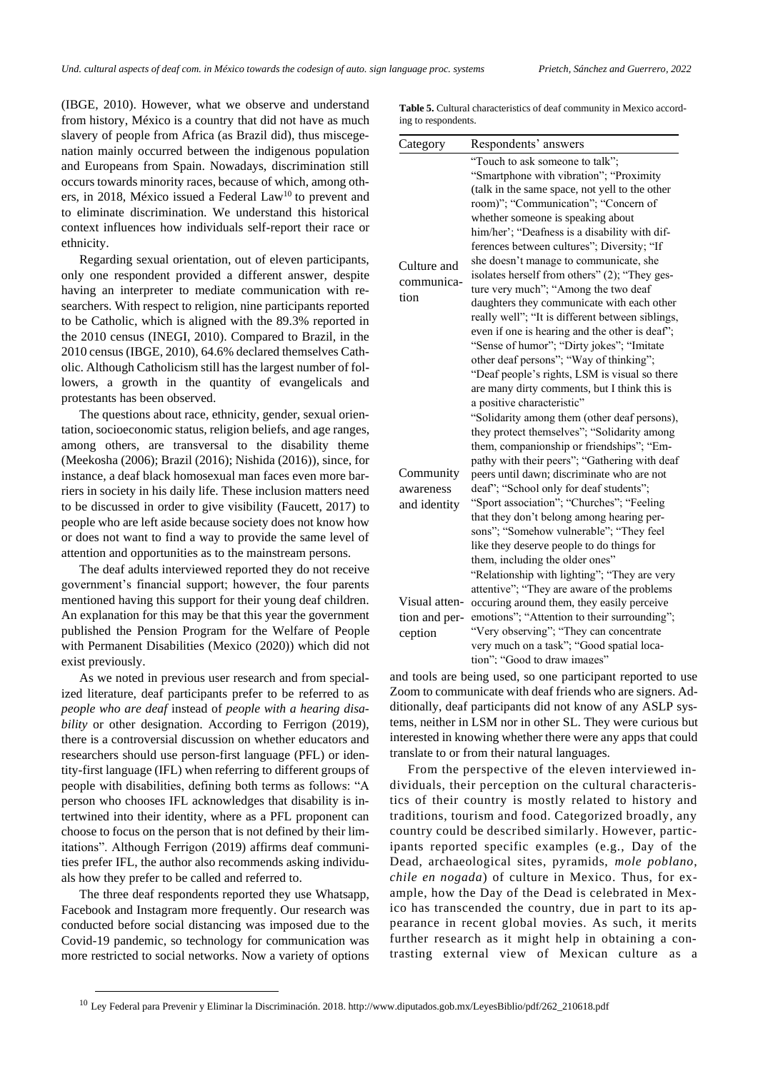(IBGE, 2010). However, what we observe and understand from history, México is a country that did not have as much slavery of people from Africa (as Brazil did), thus miscegenation mainly occurred between the indigenous population and Europeans from Spain. Nowadays, discrimination still occurs towards minority races, because of which, among others, in 2018, México issued a Federal Law<sup>10</sup> to prevent and to eliminate discrimination. We understand this historical context influences how individuals self-report their race or ethnicity.

Regarding sexual orientation, out of eleven participants, only one respondent provided a different answer, despite having an interpreter to mediate communication with researchers. With respect to religion, nine participants reported to be Catholic, which is aligned with the 89.3% reported in the 2010 census (INEGI, 2010). Compared to Brazil, in the 2010 census (IBGE, 2010), 64.6% declared themselves Catholic. Although Catholicism still has the largest number of followers, a growth in the quantity of evangelicals and protestants has been observed.

The questions about race, ethnicity, gender, sexual orientation, socioeconomic status, religion beliefs, and age ranges, among others, are transversal to the disability theme (Meekosha (2006); Brazil (2016); Nishida (2016)), since, for instance, a deaf black homosexual man faces even more barriers in society in his daily life. These inclusion matters need to be discussed in order to give visibility (Faucett, 2017) to people who are left aside because society does not know how or does not want to find a way to provide the same level of attention and opportunities as to the mainstream persons.

The deaf adults interviewed reported they do not receive government's financial support; however, the four parents mentioned having this support for their young deaf children. An explanation for this may be that this year the government published the Pension Program for the Welfare of People with Permanent Disabilities (Mexico (2020)) which did not exist previously.

As we noted in previous user research and from specialized literature, deaf participants prefer to be referred to as *people who are deaf* instead of *people with a hearing disability* or other designation. According to Ferrigon (2019), there is a controversial discussion on whether educators and researchers should use person-first language (PFL) or identity-first language (IFL) when referring to different groups of people with disabilities, defining both terms as follows: "A person who chooses IFL acknowledges that disability is intertwined into their identity, where as a PFL proponent can choose to focus on the person that is not defined by their limitations". Although Ferrigon (2019) affirms deaf communities prefer IFL, the author also recommends asking individuals how they prefer to be called and referred to.

The three deaf respondents reported they use Whatsapp, Facebook and Instagram more frequently. Our research was conducted before social distancing was imposed due to the Covid-19 pandemic, so technology for communication was more restricted to social networks. Now a variety of options

**Table 5.** Cultural characteristics of deaf community in Mexico according to respondents.

| Category      | Respondents' answers                                                         |  |  |  |  |  |
|---------------|------------------------------------------------------------------------------|--|--|--|--|--|
|               | "Touch to ask someone to talk";                                              |  |  |  |  |  |
|               | "Smartphone with vibration"; "Proximity                                      |  |  |  |  |  |
|               | (talk in the same space, not yell to the other                               |  |  |  |  |  |
|               | room)"; "Communication"; "Concern of                                         |  |  |  |  |  |
|               | whether someone is speaking about                                            |  |  |  |  |  |
|               | him/her'; "Deafness is a disability with dif-                                |  |  |  |  |  |
|               | ferences between cultures"; Diversity; "If                                   |  |  |  |  |  |
| Culture and   | she doesn't manage to communicate, she                                       |  |  |  |  |  |
| communica-    | isolates herself from others" (2); "They ges-                                |  |  |  |  |  |
|               | ture very much"; "Among the two deaf                                         |  |  |  |  |  |
| tion          | daughters they communicate with each other                                   |  |  |  |  |  |
|               | really well"; "It is different between siblings,                             |  |  |  |  |  |
|               | even if one is hearing and the other is deaf";                               |  |  |  |  |  |
|               | "Sense of humor"; "Dirty jokes"; "Imitate                                    |  |  |  |  |  |
|               | other deaf persons"; "Way of thinking";                                      |  |  |  |  |  |
|               | "Deaf people's rights, LSM is visual so there                                |  |  |  |  |  |
|               | are many dirty comments, but I think this is                                 |  |  |  |  |  |
|               | a positive characteristic"                                                   |  |  |  |  |  |
|               | "Solidarity among them (other deaf persons),                                 |  |  |  |  |  |
|               | they protect themselves"; "Solidarity among                                  |  |  |  |  |  |
|               | them, companionship or friendships"; "Em-                                    |  |  |  |  |  |
|               | pathy with their peers"; "Gathering with deaf                                |  |  |  |  |  |
| Community     | peers until dawn; discriminate who are not                                   |  |  |  |  |  |
| awareness     | deaf"; "School only for deaf students";                                      |  |  |  |  |  |
| and identity  | "Sport association"; "Churches"; "Feeling                                    |  |  |  |  |  |
|               | that they don't belong among hearing per-                                    |  |  |  |  |  |
|               | sons"; "Somehow vulnerable"; "They feel                                      |  |  |  |  |  |
|               | like they deserve people to do things for<br>them, including the older ones" |  |  |  |  |  |
|               | "Relationship with lighting"; "They are very                                 |  |  |  |  |  |
|               | attentive"; "They are aware of the problems                                  |  |  |  |  |  |
| Visual atten- | occuring around them, they easily perceive                                   |  |  |  |  |  |
| tion and per- | emotions"; "Attention to their surrounding";                                 |  |  |  |  |  |
| ception       | "Very observing"; "They can concentrate                                      |  |  |  |  |  |
|               | very much on a task"; "Good spatial loca-                                    |  |  |  |  |  |
|               | tion": "Good to draw images"                                                 |  |  |  |  |  |
|               |                                                                              |  |  |  |  |  |

and tools are being used, so one participant reported to use Zoom to communicate with deaf friends who are signers. Additionally, deaf participants did not know of any ASLP systems, neither in LSM nor in other SL. They were curious but interested in knowing whether there were any apps that could translate to or from their natural languages.

From the perspective of the eleven interviewed individuals, their perception on the cultural characteristics of their country is mostly related to history and traditions, tourism and food. Categorized broadly, any country could be described similarly. However, participants reported specific examples (e.g., Day of the Dead, archaeological sites, pyramids, *mole poblano*, *chile en nogada*) of culture in Mexico. Thus, for example, how the Day of the Dead is celebrated in Mexico has transcended the country, due in part to its appearance in recent global movies. As such, it merits further research as it might help in obtaining a contrasting external view of Mexican culture as a

<sup>&</sup>lt;sup>10</sup> Ley Federal para Prevenir y Eliminar la Discriminación. 2018. http://www.diputados.gob.mx/LeyesBiblio/pdf/262\_210618.pdf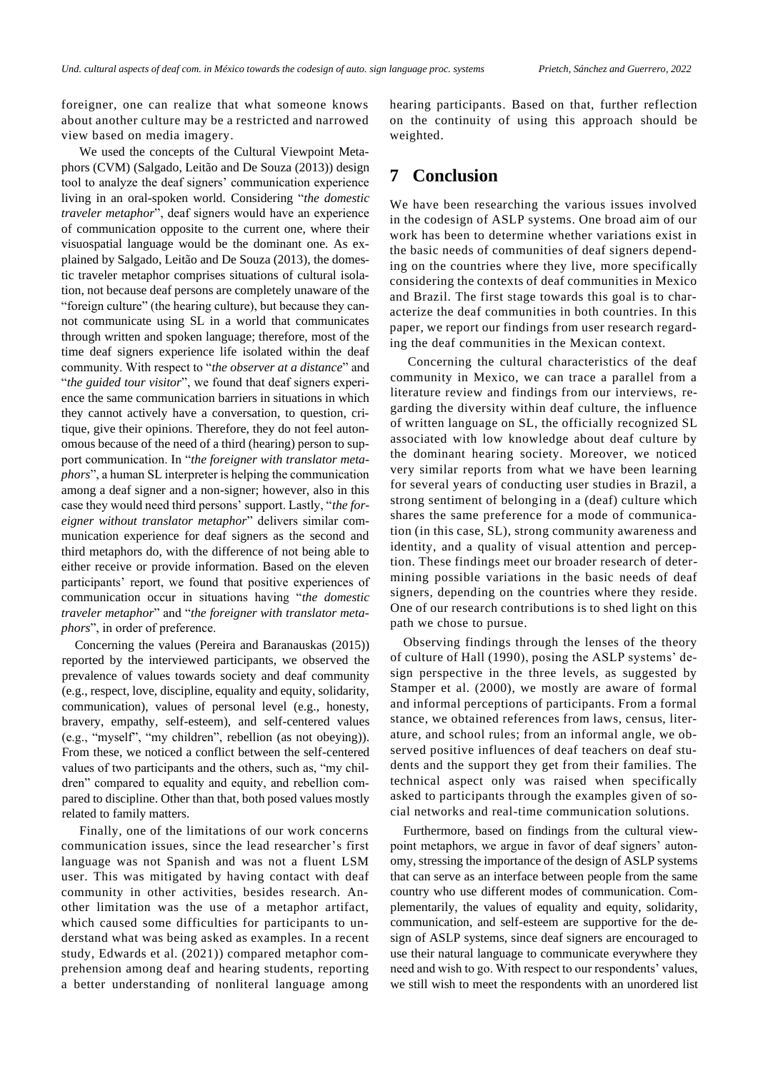foreigner, one can realize that what someone knows about another culture may be a restricted and narrowed view based on media imagery.

We used the concepts of the Cultural Viewpoint Metaphors (CVM) (Salgado, Leitão and De Souza (2013)) design tool to analyze the deaf signers' communication experience living in an oral-spoken world. Considering "*the domestic traveler metaphor*", deaf signers would have an experience of communication opposite to the current one, where their visuospatial language would be the dominant one. As explained by Salgado, Leitão and De Souza (2013), the domestic traveler metaphor comprises situations of cultural isolation, not because deaf persons are completely unaware of the "foreign culture" (the hearing culture), but because they cannot communicate using SL in a world that communicates through written and spoken language; therefore, most of the time deaf signers experience life isolated within the deaf community. With respect to "*the observer at a distance*" and "*the guided tour visitor*", we found that deaf signers experience the same communication barriers in situations in which they cannot actively have a conversation, to question, critique, give their opinions. Therefore, they do not feel autonomous because of the need of a third (hearing) person to support communication. In "*the foreigner with translator metaphors*", a human SL interpreter is helping the communication among a deaf signer and a non-signer; however, also in this case they would need third persons' support. Lastly, "*the foreigner without translator metaphor*" delivers similar communication experience for deaf signers as the second and third metaphors do, with the difference of not being able to either receive or provide information. Based on the eleven participants' report, we found that positive experiences of communication occur in situations having "*the domestic traveler metaphor*" and "*the foreigner with translator metaphors*", in order of preference.

Concerning the values (Pereira and Baranauskas (2015)) reported by the interviewed participants, we observed the prevalence of values towards society and deaf community (e.g., respect, love, discipline, equality and equity, solidarity, communication), values of personal level (e.g., honesty, bravery, empathy, self-esteem), and self-centered values (e.g., "myself", "my children", rebellion (as not obeying)). From these, we noticed a conflict between the self-centered values of two participants and the others, such as, "my children" compared to equality and equity, and rebellion compared to discipline. Other than that, both posed values mostly related to family matters.

Finally, one of the limitations of our work concerns communication issues, since the lead researcher's first language was not Spanish and was not a fluent LSM user. This was mitigated by having contact with deaf community in other activities, besides research. Another limitation was the use of a metaphor artifact, which caused some difficulties for participants to understand what was being asked as examples. In a recent study, Edwards et al. (2021)) compared metaphor comprehension among deaf and hearing students, reporting a better understanding of nonliteral language among

hearing participants. Based on that, further reflection on the continuity of using this approach should be weighted.

# **7 Conclusion**

We have been researching the various issues involved in the codesign of ASLP systems. One broad aim of our work has been to determine whether variations exist in the basic needs of communities of deaf signers depending on the countries where they live, more specifically considering the contexts of deaf communities in Mexico and Brazil. The first stage towards this goal is to characterize the deaf communities in both countries. In this paper, we report our findings from user research regarding the deaf communities in the Mexican context.

Concerning the cultural characteristics of the deaf community in Mexico, we can trace a parallel from a literature review and findings from our interviews, regarding the diversity within deaf culture, the influence of written language on SL, the officially recognized SL associated with low knowledge about deaf culture by the dominant hearing society. Moreover, we noticed very similar reports from what we have been learning for several years of conducting user studies in Brazil, a strong sentiment of belonging in a (deaf) culture which shares the same preference for a mode of communication (in this case, SL), strong community awareness and identity, and a quality of visual attention and perception. These findings meet our broader research of determining possible variations in the basic needs of deaf signers, depending on the countries where they reside. One of our research contributions is to shed light on this path we chose to pursue.

Observing findings through the lenses of the theory of culture of Hall (1990), posing the ASLP systems' design perspective in the three levels, as suggested by Stamper et al. (2000), we mostly are aware of formal and informal perceptions of participants. From a formal stance, we obtained references from laws, census, literature, and school rules; from an informal angle, we observed positive influences of deaf teachers on deaf students and the support they get from their families. The technical aspect only was raised when specifically asked to participants through the examples given of social networks and real-time communication solutions.

Furthermore, based on findings from the cultural viewpoint metaphors, we argue in favor of deaf signers' autonomy, stressing the importance of the design of ASLP systems that can serve as an interface between people from the same country who use different modes of communication. Complementarily, the values of equality and equity, solidarity, communication, and self-esteem are supportive for the design of ASLP systems, since deaf signers are encouraged to use their natural language to communicate everywhere they need and wish to go. With respect to our respondents' values, we still wish to meet the respondents with an unordered list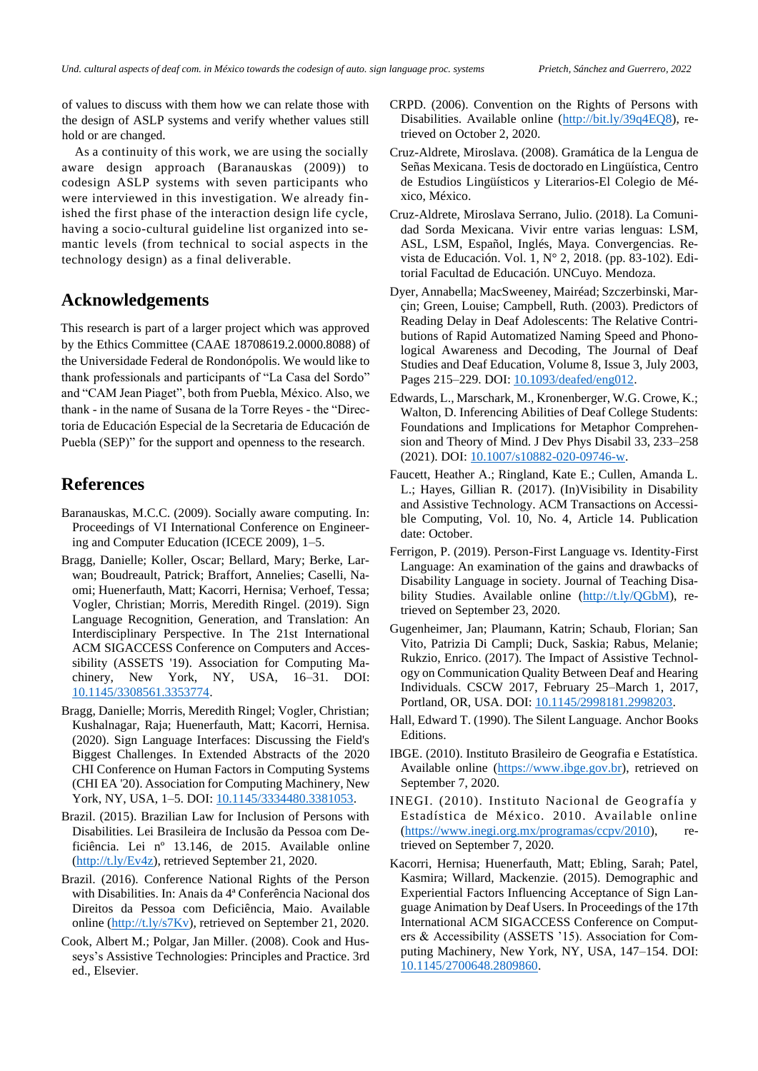of values to discuss with them how we can relate those with the design of ASLP systems and verify whether values still hold or are changed.

As a continuity of this work, we are using the socially aware design approach (Baranauskas (2009)) to codesign ASLP systems with seven participants who were interviewed in this investigation. We already finished the first phase of the interaction design life cycle, having a socio-cultural guideline list organized into semantic levels (from technical to social aspects in the technology design) as a final deliverable.

# **Acknowledgements**

This research is part of a larger project which was approved by the Ethics Committee (CAAE 18708619.2.0000.8088) of the Universidade Federal de Rondonópolis. We would like to thank professionals and participants of "La Casa del Sordo" and "CAM Jean Piaget", both from Puebla, México. Also, we thank - in the name of Susana de la Torre Reyes - the "Directoria de Educación Especial de la Secretaria de Educación de Puebla (SEP)" for the support and openness to the research.

# **References**

- Baranauskas, M.C.C. (2009). Socially aware computing. In: Proceedings of VI International Conference on Engineering and Computer Education (ICECE 2009), 1–5.
- Bragg, Danielle; Koller, Oscar; Bellard, Mary; Berke, Larwan; Boudreault, Patrick; Braffort, Annelies; Caselli, Naomi; Huenerfauth, Matt; Kacorri, Hernisa; Verhoef, Tessa; Vogler, Christian; Morris, Meredith Ringel. (2019). Sign Language Recognition, Generation, and Translation: An Interdisciplinary Perspective. In The 21st International ACM SIGACCESS Conference on Computers and Accessibility (ASSETS '19). Association for Computing Machinery, New York, NY, USA, 16–31. DOI: [10.1145/3308561.3353774.](https://doi.org/10.1145/3308561.3353774)
- Bragg, Danielle; Morris, Meredith Ringel; Vogler, Christian; Kushalnagar, Raja; Huenerfauth, Matt; Kacorri, Hernisa. (2020). Sign Language Interfaces: Discussing the Field's Biggest Challenges. In Extended Abstracts of the 2020 CHI Conference on Human Factors in Computing Systems (CHI EA '20). Association for Computing Machinery, New York, NY, USA, 1-5. DOI: [10.1145/3334480.3381053.](https://doi.org/10.1145/3334480.3381053)
- Brazil. (2015). Brazilian Law for Inclusion of Persons with Disabilities. Lei Brasileira de Inclusão da Pessoa com Deficiência. Lei nº 13.146, de 2015. Available online [\(http://t.ly/Ev4z\)](http://t.ly/Ev4z), retrieved September 21, 2020.
- Brazil. (2016). Conference National Rights of the Person with Disabilities. In: Anais da 4ª Conferência Nacional dos Direitos da Pessoa com Deficiência, Maio. Available online [\(http://t.ly/s7Kv\)](http://t.ly/s7Kv), retrieved on September 21, 2020.
- Cook, Albert M.; Polgar, Jan Miller. (2008). Cook and Husseys's Assistive Technologies: Principles and Practice. 3rd ed., Elsevier.
- CRPD. (2006). Convention on the Rights of Persons with Disabilities. Available online [\(http://bit.ly/39q4EQ8\)](http://bit.ly/39q4EQ8), retrieved on October 2, 2020.
- Cruz-Aldrete, Miroslava. (2008). Gramática de la Lengua de Señas Mexicana. Tesis de doctorado en Lingüística, Centro de Estudios Lingüísticos y Literarios-El Colegio de México, México.
- Cruz-Aldrete, Miroslava Serrano, Julio. (2018). La Comunidad Sorda Mexicana. Vivir entre varias lenguas: LSM, ASL, LSM, Español, Inglés, Maya. Convergencias. Revista de Educación. Vol. 1, N° 2, 2018. (pp. 83-102). Editorial Facultad de Educación. UNCuyo. Mendoza.
- Dyer, Annabella; MacSweeney, Mairéad; Szczerbinski, Marçin; Green, Louise; Campbell, Ruth. (2003). Predictors of Reading Delay in Deaf Adolescents: The Relative Contributions of Rapid Automatized Naming Speed and Phonological Awareness and Decoding, The Journal of Deaf Studies and Deaf Education, Volume 8, Issue 3, July 2003, Pages 215–229. DOI: [10.1093/deafed/eng012.](https://doi.org/10.1093/deafed/eng012)
- Edwards, L., Marschark, M., Kronenberger, W.G. Crowe, K.; Walton, D. Inferencing Abilities of Deaf College Students: Foundations and Implications for Metaphor Comprehension and Theory of Mind. J Dev Phys Disabil 33, 233–258 (2021). DOI: [10.1007/s10882-020-09746-w.](https://doi.org/10.1007/s10882-020-09746-w)
- Faucett, Heather A.; Ringland, Kate E.; Cullen, Amanda L. L.; Hayes, Gillian R. (2017). (In)Visibility in Disability and Assistive Technology. ACM Transactions on Accessible Computing, Vol. 10, No. 4, Article 14. Publication date: October.
- Ferrigon, P. (2019). Person-First Language vs. Identity-First Language: An examination of the gains and drawbacks of Disability Language in society. Journal of Teaching Disability Studies. Available online [\(http://t.ly/QGbM\)](http://t.ly/QGbM), retrieved on September 23, 2020.
- Gugenheimer, Jan; Plaumann, Katrin; Schaub, Florian; San Vito, Patrizia Di Campli; Duck, Saskia; Rabus, Melanie; Rukzio, Enrico. (2017). The Impact of Assistive Technology on Communication Quality Between Deaf and Hearing Individuals. CSCW 2017, February 25–March 1, 2017, Portland, OR, USA. DOI: [10.1145/2998181.2998203.](https://doi.org/10.1145/2998181.2998203)
- Hall, Edward T. (1990). The Silent Language. Anchor Books Editions.
- IBGE. (2010). Instituto Brasileiro de Geografia e Estatística. Available online [\(https://www.ibge.gov.br\)](https://www.ibge.gov.br/), retrieved on September 7, 2020.
- INEGI. (2010). Instituto Nacional de Geografía y Estadística de México. 2010. Available online [\(https://www.inegi.org.mx/programas/ccpv/2010\)](https://www.inegi.org.mx/programas/ccpv/2010), retrieved on September 7, 2020.
- Kacorri, Hernisa; Huenerfauth, Matt; Ebling, Sarah; Patel, Kasmira; Willard, Mackenzie. (2015). Demographic and Experiential Factors Influencing Acceptance of Sign Language Animation by Deaf Users. In Proceedings of the 17th International ACM SIGACCESS Conference on Computers & Accessibility (ASSETS '15). Association for Computing Machinery, New York, NY, USA, 147–154. DOI: [10.1145/2700648.2809860.](https://doi.org/10.1145/2700648.2809860)